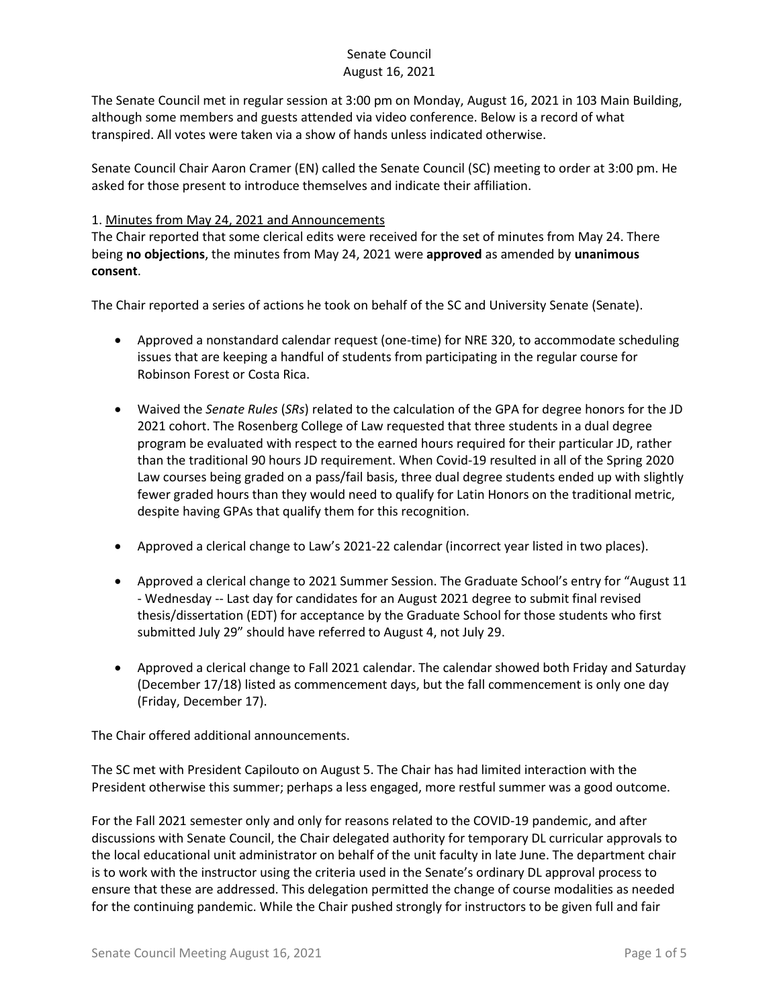The Senate Council met in regular session at 3:00 pm on Monday, August 16, 2021 in 103 Main Building, although some members and guests attended via video conference. Below is a record of what transpired. All votes were taken via a show of hands unless indicated otherwise.

Senate Council Chair Aaron Cramer (EN) called the Senate Council (SC) meeting to order at 3:00 pm. He asked for those present to introduce themselves and indicate their affiliation.

## 1. Minutes from May 24, 2021 and Announcements

The Chair reported that some clerical edits were received for the set of minutes from May 24. There being **no objections**, the minutes from May 24, 2021 were **approved** as amended by **unanimous consent**.

The Chair reported a series of actions he took on behalf of the SC and University Senate (Senate).

- Approved a nonstandard calendar request (one-time) for NRE 320, to accommodate scheduling issues that are keeping a handful of students from participating in the regular course for Robinson Forest or Costa Rica.
- Waived the *Senate Rules* (*SRs*) related to the calculation of the GPA for degree honors for the JD 2021 cohort. The Rosenberg College of Law requested that three students in a dual degree program be evaluated with respect to the earned hours required for their particular JD, rather than the traditional 90 hours JD requirement. When Covid-19 resulted in all of the Spring 2020 Law courses being graded on a pass/fail basis, three dual degree students ended up with slightly fewer graded hours than they would need to qualify for Latin Honors on the traditional metric, despite having GPAs that qualify them for this recognition.
- Approved a clerical change to Law's 2021-22 calendar (incorrect year listed in two places).
- Approved a clerical change to 2021 Summer Session. The Graduate School's entry for "August 11 - Wednesday -- Last day for candidates for an August 2021 degree to submit final revised thesis/dissertation (EDT) for acceptance by the Graduate School for those students who first submitted July 29" should have referred to August 4, not July 29.
- Approved a clerical change to Fall 2021 calendar. The calendar showed both Friday and Saturday (December 17/18) listed as commencement days, but the fall commencement is only one day (Friday, December 17).

The Chair offered additional announcements.

The SC met with President Capilouto on August 5. The Chair has had limited interaction with the President otherwise this summer; perhaps a less engaged, more restful summer was a good outcome.

For the Fall 2021 semester only and only for reasons related to the COVID-19 pandemic, and after discussions with Senate Council, the Chair delegated authority for temporary DL curricular approvals to the local educational unit administrator on behalf of the unit faculty in late June. The department chair is to work with the instructor using the criteria used in the Senate's ordinary DL approval process to ensure that these are addressed. This delegation permitted the change of course modalities as needed for the continuing pandemic. While the Chair pushed strongly for instructors to be given full and fair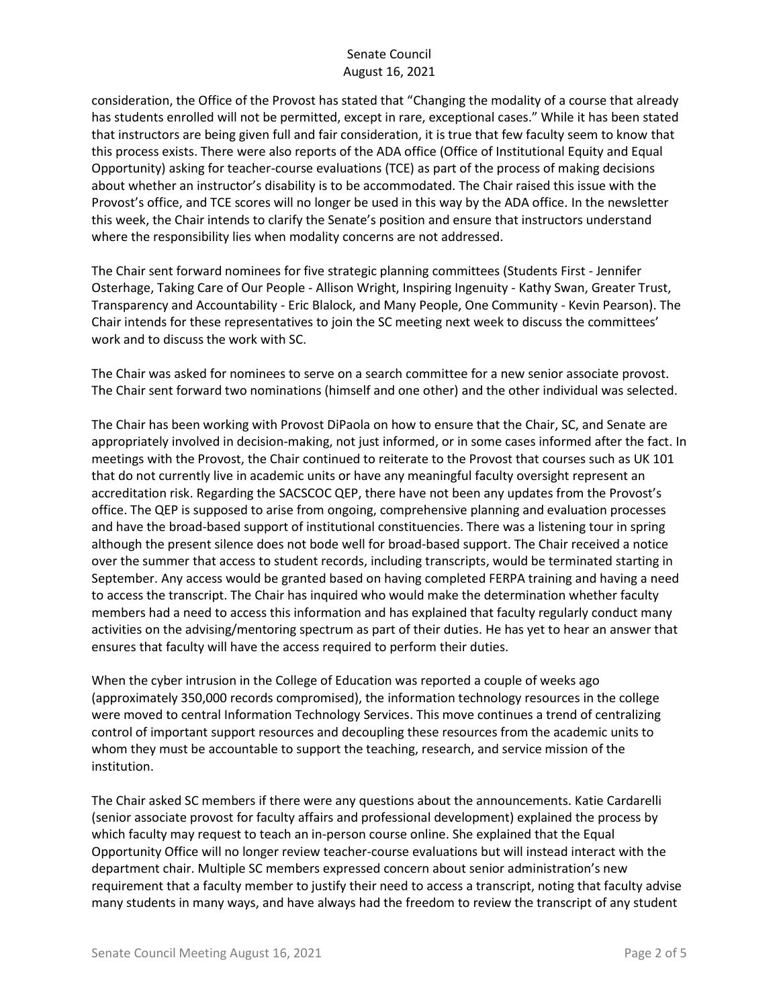consideration, the Office of the Provost has stated that "Changing the modality of a course that already has students enrolled will not be permitted, except in rare, exceptional cases." While it has been stated that instructors are being given full and fair consideration, it is true that few faculty seem to know that this process exists. There were also reports of the ADA office (Office of Institutional Equity and Equal Opportunity) asking for teacher-course evaluations (TCE) as part of the process of making decisions about whether an instructor's disability is to be accommodated. The Chair raised this issue with the Provost's office, and TCE scores will no longer be used in this way by the ADA office. In the newsletter this week, the Chair intends to clarify the Senate's position and ensure that instructors understand where the responsibility lies when modality concerns are not addressed.

The Chair sent forward nominees for five strategic planning committees (Students First - Jennifer Osterhage, Taking Care of Our People - Allison Wright, Inspiring Ingenuity - Kathy Swan, Greater Trust, Transparency and Accountability - Eric Blalock, and Many People, One Community - Kevin Pearson). The Chair intends for these representatives to join the SC meeting next week to discuss the committees' work and to discuss the work with SC.

The Chair was asked for nominees to serve on a search committee for a new senior associate provost. The Chair sent forward two nominations (himself and one other) and the other individual was selected.

The Chair has been working with Provost DiPaola on how to ensure that the Chair, SC, and Senate are appropriately involved in decision-making, not just informed, or in some cases informed after the fact. In meetings with the Provost, the Chair continued to reiterate to the Provost that courses such as UK 101 that do not currently live in academic units or have any meaningful faculty oversight represent an accreditation risk. Regarding the SACSCOC QEP, there have not been any updates from the Provost's office. The QEP is supposed to arise from ongoing, comprehensive planning and evaluation processes and have the broad-based support of institutional constituencies. There was a listening tour in spring although the present silence does not bode well for broad-based support. The Chair received a notice over the summer that access to student records, including transcripts, would be terminated starting in September. Any access would be granted based on having completed FERPA training and having a need to access the transcript. The Chair has inquired who would make the determination whether faculty members had a need to access this information and has explained that faculty regularly conduct many activities on the advising/mentoring spectrum as part of their duties. He has yet to hear an answer that ensures that faculty will have the access required to perform their duties.

When the cyber intrusion in the College of Education was reported a couple of weeks ago (approximately 350,000 records compromised), the information technology resources in the college were moved to central Information Technology Services. This move continues a trend of centralizing control of important support resources and decoupling these resources from the academic units to whom they must be accountable to support the teaching, research, and service mission of the institution.

The Chair asked SC members if there were any questions about the announcements. Katie Cardarelli (senior associate provost for faculty affairs and professional development) explained the process by which faculty may request to teach an in-person course online. She explained that the Equal Opportunity Office will no longer review teacher-course evaluations but will instead interact with the department chair. Multiple SC members expressed concern about senior administration's new requirement that a faculty member to justify their need to access a transcript, noting that faculty advise many students in many ways, and have always had the freedom to review the transcript of any student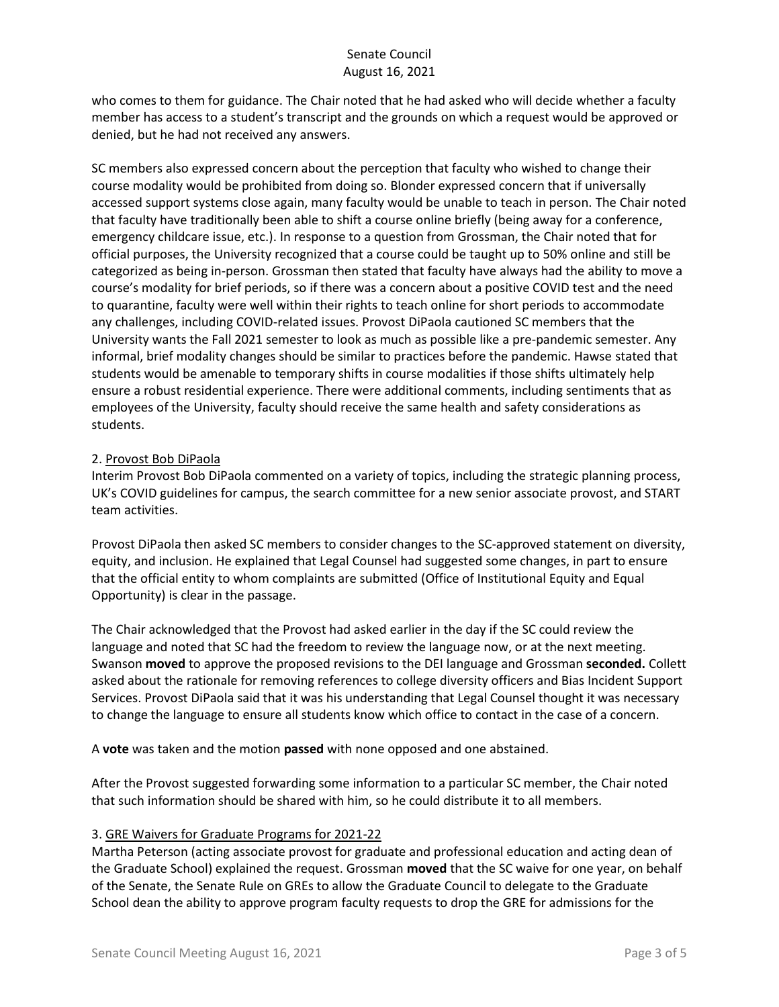who comes to them for guidance. The Chair noted that he had asked who will decide whether a faculty member has access to a student's transcript and the grounds on which a request would be approved or denied, but he had not received any answers.

SC members also expressed concern about the perception that faculty who wished to change their course modality would be prohibited from doing so. Blonder expressed concern that if universally accessed support systems close again, many faculty would be unable to teach in person. The Chair noted that faculty have traditionally been able to shift a course online briefly (being away for a conference, emergency childcare issue, etc.). In response to a question from Grossman, the Chair noted that for official purposes, the University recognized that a course could be taught up to 50% online and still be categorized as being in-person. Grossman then stated that faculty have always had the ability to move a course's modality for brief periods, so if there was a concern about a positive COVID test and the need to quarantine, faculty were well within their rights to teach online for short periods to accommodate any challenges, including COVID-related issues. Provost DiPaola cautioned SC members that the University wants the Fall 2021 semester to look as much as possible like a pre-pandemic semester. Any informal, brief modality changes should be similar to practices before the pandemic. Hawse stated that students would be amenable to temporary shifts in course modalities if those shifts ultimately help ensure a robust residential experience. There were additional comments, including sentiments that as employees of the University, faculty should receive the same health and safety considerations as students.

### 2. Provost Bob DiPaola

Interim Provost Bob DiPaola commented on a variety of topics, including the strategic planning process, UK's COVID guidelines for campus, the search committee for a new senior associate provost, and START team activities.

Provost DiPaola then asked SC members to consider changes to the SC-approved statement on diversity, equity, and inclusion. He explained that Legal Counsel had suggested some changes, in part to ensure that the official entity to whom complaints are submitted (Office of Institutional Equity and Equal Opportunity) is clear in the passage.

The Chair acknowledged that the Provost had asked earlier in the day if the SC could review the language and noted that SC had the freedom to review the language now, or at the next meeting. Swanson **moved** to approve the proposed revisions to the DEI language and Grossman **seconded.** Collett asked about the rationale for removing references to college diversity officers and Bias Incident Support Services. Provost DiPaola said that it was his understanding that Legal Counsel thought it was necessary to change the language to ensure all students know which office to contact in the case of a concern.

A **vote** was taken and the motion **passed** with none opposed and one abstained.

After the Provost suggested forwarding some information to a particular SC member, the Chair noted that such information should be shared with him, so he could distribute it to all members.

#### 3. GRE Waivers for Graduate Programs for 2021-22

Martha Peterson (acting associate provost for graduate and professional education and acting dean of the Graduate School) explained the request. Grossman **moved** that the SC waive for one year, on behalf of the Senate, the Senate Rule on GREs to allow the Graduate Council to delegate to the Graduate School dean the ability to approve program faculty requests to drop the GRE for admissions for the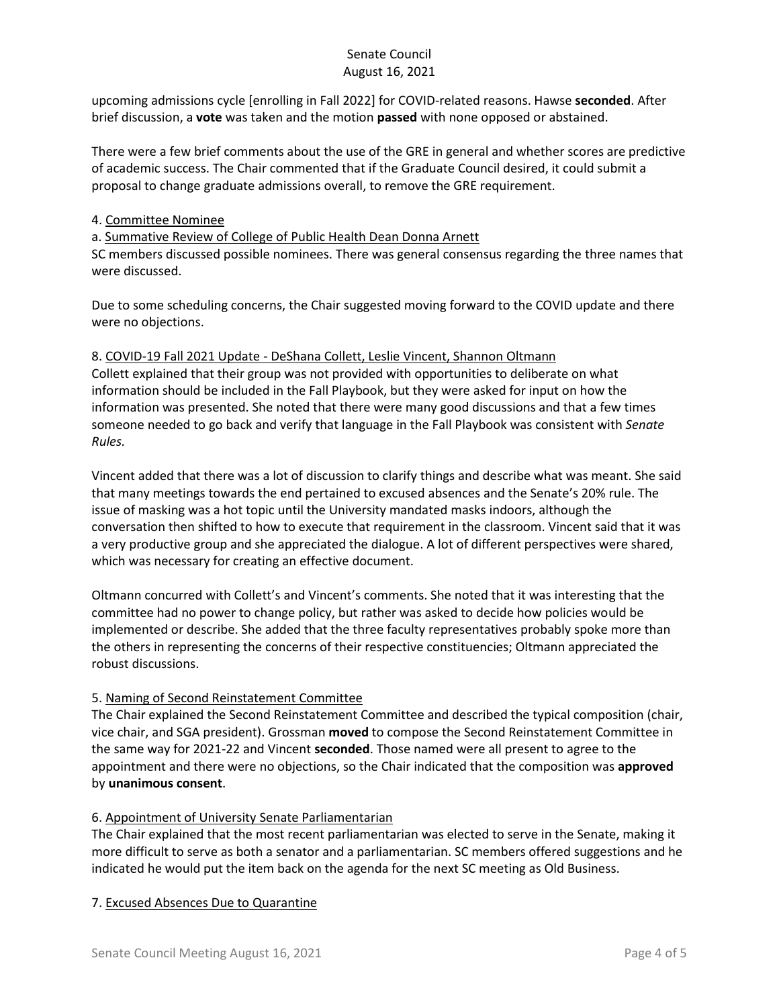upcoming admissions cycle [enrolling in Fall 2022] for COVID-related reasons. Hawse **seconded**. After brief discussion, a **vote** was taken and the motion **passed** with none opposed or abstained.

There were a few brief comments about the use of the GRE in general and whether scores are predictive of academic success. The Chair commented that if the Graduate Council desired, it could submit a proposal to change graduate admissions overall, to remove the GRE requirement.

### 4. Committee Nominee

a. Summative Review of College of Public Health Dean Donna Arnett

SC members discussed possible nominees. There was general consensus regarding the three names that were discussed.

Due to some scheduling concerns, the Chair suggested moving forward to the COVID update and there were no objections.

### 8. COVID-19 Fall 2021 Update - DeShana Collett, Leslie Vincent, Shannon Oltmann

Collett explained that their group was not provided with opportunities to deliberate on what information should be included in the Fall Playbook, but they were asked for input on how the information was presented. She noted that there were many good discussions and that a few times someone needed to go back and verify that language in the Fall Playbook was consistent with *Senate Rules.*

Vincent added that there was a lot of discussion to clarify things and describe what was meant. She said that many meetings towards the end pertained to excused absences and the Senate's 20% rule. The issue of masking was a hot topic until the University mandated masks indoors, although the conversation then shifted to how to execute that requirement in the classroom. Vincent said that it was a very productive group and she appreciated the dialogue. A lot of different perspectives were shared, which was necessary for creating an effective document.

Oltmann concurred with Collett's and Vincent's comments. She noted that it was interesting that the committee had no power to change policy, but rather was asked to decide how policies would be implemented or describe. She added that the three faculty representatives probably spoke more than the others in representing the concerns of their respective constituencies; Oltmann appreciated the robust discussions.

# 5. Naming of Second Reinstatement Committee

The Chair explained the Second Reinstatement Committee and described the typical composition (chair, vice chair, and SGA president). Grossman **moved** to compose the Second Reinstatement Committee in the same way for 2021-22 and Vincent **seconded**. Those named were all present to agree to the appointment and there were no objections, so the Chair indicated that the composition was **approved** by **unanimous consent**.

### 6. Appointment of University Senate Parliamentarian

The Chair explained that the most recent parliamentarian was elected to serve in the Senate, making it more difficult to serve as both a senator and a parliamentarian. SC members offered suggestions and he indicated he would put the item back on the agenda for the next SC meeting as Old Business.

### 7. Excused Absences Due to Quarantine